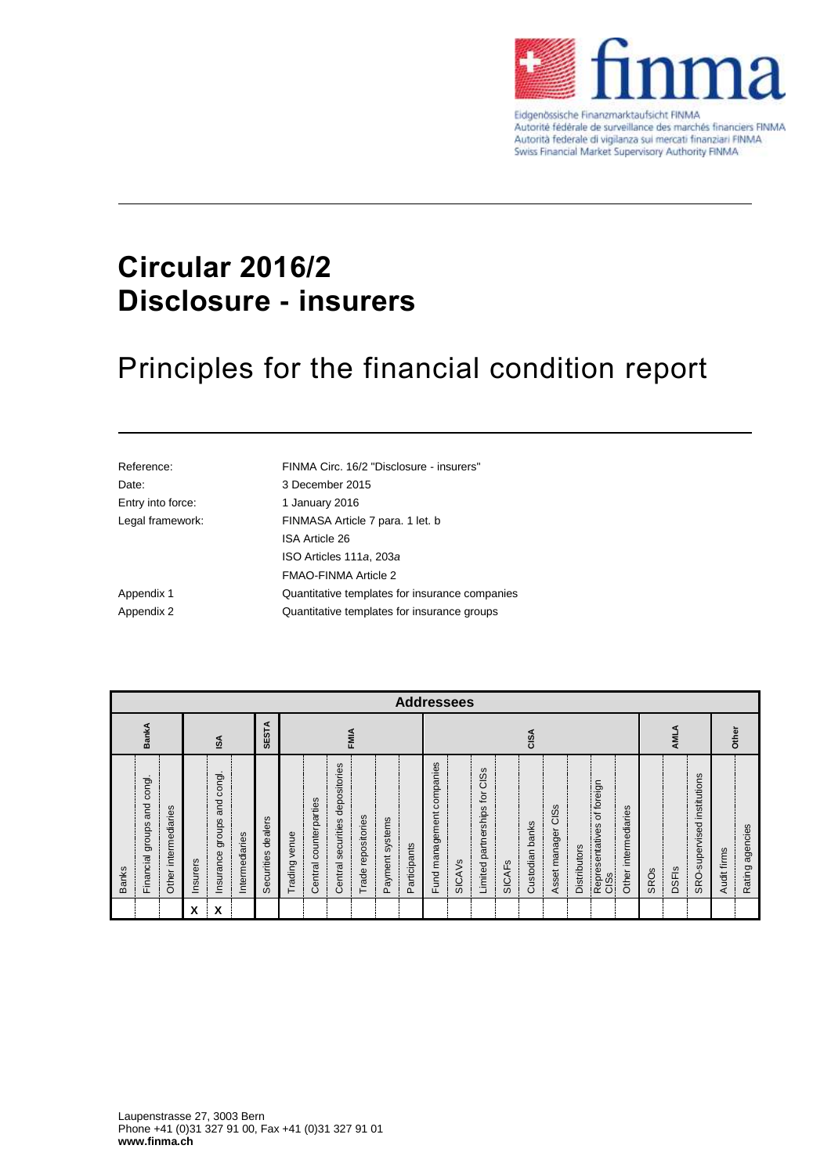

Eidgenössische Finanzmarktaufsicht FINMA Autorité fédérale de surveillance des marchés financiers FINMA Autorità federale di vigilanza sui mercati finanziari FINMA Swiss Financial Market Supervisory Authority FINMA

# **Circular 2016/2 Disclosure - insurers**

# Principles for the financial condition report

| Reference:        | FINMA Circ. 16/2 "Disclosure - insurers"       |
|-------------------|------------------------------------------------|
| Date:             | 3 December 2015                                |
| Entry into force: | 1 January 2016                                 |
| Legal framework:  | FINMASA Article 7 para, 1 let. b               |
|                   | <b>ISA Article 26</b>                          |
|                   | ISO Articles 111a, 203a                        |
|                   | FMAO-FINMA Article 2                           |
| Appendix 1        | Quantitative templates for insurance companies |
| Appendix 2        | Quantitative templates for insurance groups    |

|                                                   | <b>Addressees</b>              |                      |          |                                      |                |                       |               |                        |                                 |                       |                 |              |                              |                          |                                                 |                 |                 |                       |                     |                                          |                           |             |              |                                |             |                    |
|---------------------------------------------------|--------------------------------|----------------------|----------|--------------------------------------|----------------|-----------------------|---------------|------------------------|---------------------------------|-----------------------|-----------------|--------------|------------------------------|--------------------------|-------------------------------------------------|-----------------|-----------------|-----------------------|---------------------|------------------------------------------|---------------------------|-------------|--------------|--------------------------------|-------------|--------------------|
| <b>SESTA</b><br><b>BankA</b><br><b>FMIA</b><br>SA |                                |                      |          |                                      |                |                       |               |                        |                                 | CISA                  |                 |              |                              |                          |                                                 | ⋖<br><b>AML</b> |                 |                       | Other               |                                          |                           |             |              |                                |             |                    |
| <b>Banks</b>                                      | and congl.<br>Financial groups | Other intermediaries | Insurers | congl.<br>and<br>groups<br>Insurance | Intermediaries | dealers<br>Securities | Trading venue | Central counterparties | Central securities depositories | repositories<br>Trade | Payment systems | Participants | companies<br>Fund management | <b>SICAV<sub>S</sub></b> | CI <sub>SS</sub><br>tor<br>Limited partnerships | <b>SICAFS</b>   | Custodian banks | CISs<br>Asset manager | <b>Distributors</b> | of foreign<br>Representatives of<br>CISs | intermediaries<br>Other i | <b>SROs</b> | <b>DSFIS</b> | institutions<br>SRO-supervised | Audit firms | agencies<br>Rating |
|                                                   |                                |                      | X        | X                                    |                |                       |               |                        |                                 |                       |                 |              |                              |                          |                                                 |                 |                 |                       |                     |                                          |                           |             |              |                                |             |                    |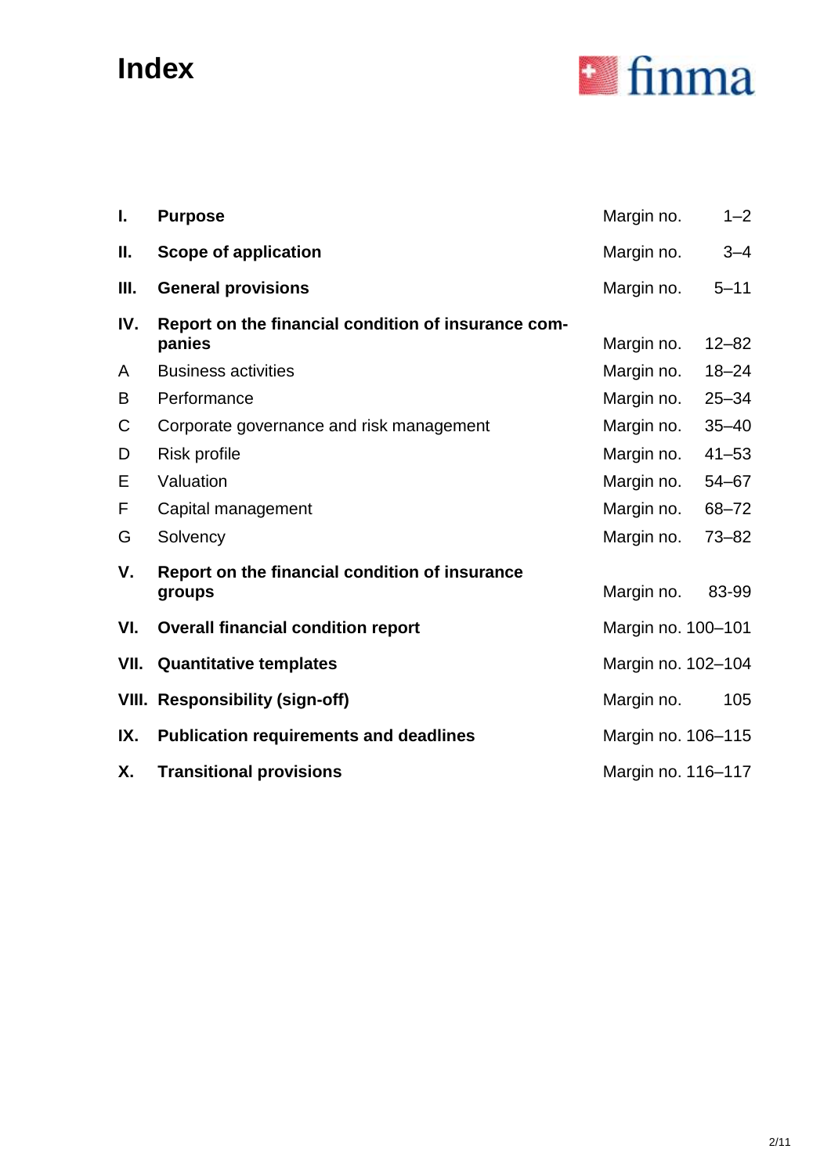# **Index**



| I.  | <b>Purpose</b>                                                | Margin no.         | $1 - 2$   |
|-----|---------------------------------------------------------------|--------------------|-----------|
| Ш.  | Scope of application                                          | Margin no.         | $3 - 4$   |
| Ш.  | <b>General provisions</b>                                     | Margin no.         | $5 - 11$  |
| IV. | Report on the financial condition of insurance com-<br>panies | Margin no.         | $12 - 82$ |
| A   | <b>Business activities</b>                                    | Margin no.         | $18 - 24$ |
| B   | Performance                                                   | Margin no.         | $25 - 34$ |
| С   | Corporate governance and risk management                      | Margin no.         | $35 - 40$ |
| D   | Risk profile                                                  | Margin no.         | $41 - 53$ |
| Е   | Valuation                                                     | Margin no.         | $54 - 67$ |
| F   | Capital management                                            | Margin no.         | 68-72     |
| G   | Solvency                                                      | Margin no.         | $73 - 82$ |
| V.  | Report on the financial condition of insurance<br>groups      | Margin no.         | 83-99     |
| VI. | <b>Overall financial condition report</b>                     | Margin no. 100-101 |           |
|     | <b>VII.</b> Quantitative templates                            | Margin no. 102-104 |           |
|     | <b>VIII. Responsibility (sign-off)</b>                        | Margin no.         | 105       |
| IX. | <b>Publication requirements and deadlines</b>                 | Margin no. 106-115 |           |
| Х.  | <b>Transitional provisions</b>                                | Margin no. 116-117 |           |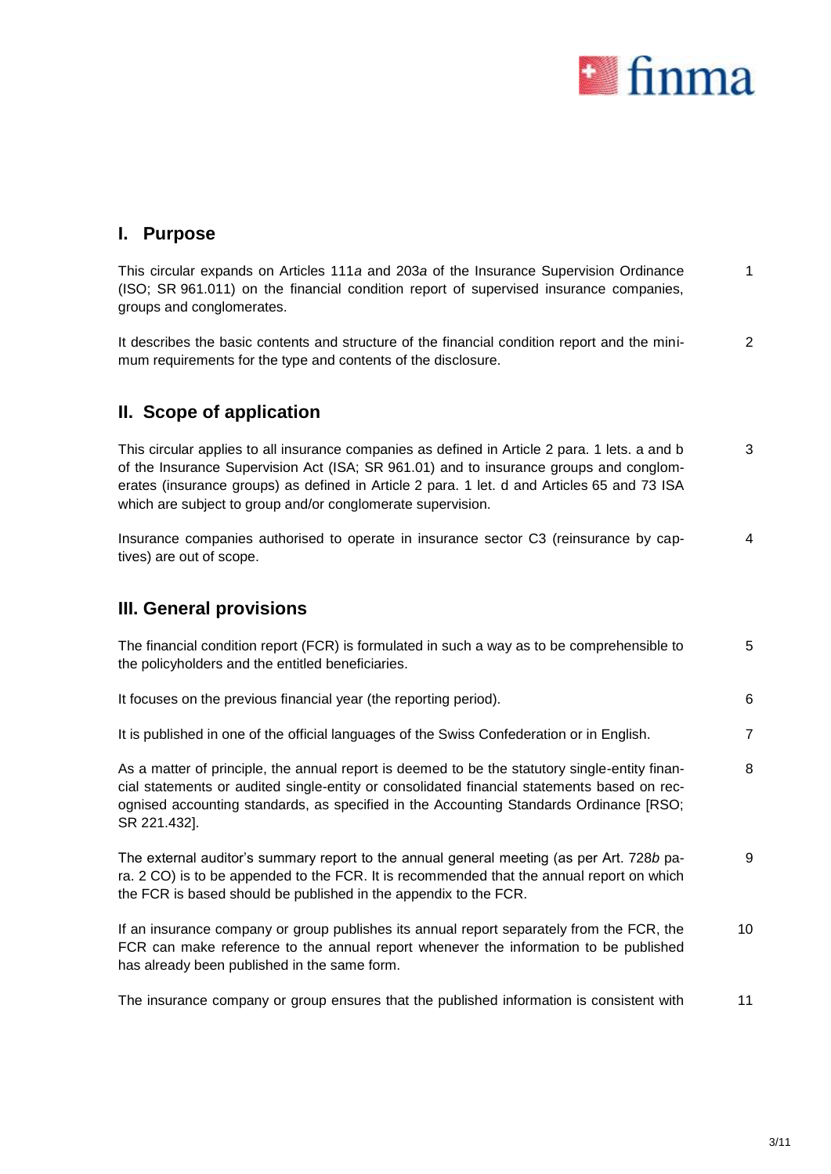

### **I. Purpose**

This circular expands on Articles 111*a* and 203*a* of the Insurance Supervision Ordinance (ISO; SR 961.011) on the financial condition report of supervised insurance companies, groups and conglomerates. 1

It describes the basic contents and structure of the financial condition report and the minimum requirements for the type and contents of the disclosure. 2

# **II. Scope of application**

This circular applies to all insurance companies as defined in Article 2 para. 1 lets. a and b of the Insurance Supervision Act (ISA; SR 961.01) and to insurance groups and conglomerates (insurance groups) as defined in Article 2 para. 1 let. d and Articles 65 and 73 ISA which are subject to group and/or conglomerate supervision. 3

Insurance companies authorised to operate in insurance sector C3 (reinsurance by captives) are out of scope. 4

### **III. General provisions**

| The financial condition report (FCR) is formulated in such a way as to be comprehensible to<br>the policyholders and the entitled beneficiaries.                                                                                                                                                        | 5              |
|---------------------------------------------------------------------------------------------------------------------------------------------------------------------------------------------------------------------------------------------------------------------------------------------------------|----------------|
| It focuses on the previous financial year (the reporting period).                                                                                                                                                                                                                                       | 6              |
| It is published in one of the official languages of the Swiss Confederation or in English.                                                                                                                                                                                                              | $\overline{7}$ |
| As a matter of principle, the annual report is deemed to be the statutory single-entity finan-<br>cial statements or audited single-entity or consolidated financial statements based on rec-<br>ognised accounting standards, as specified in the Accounting Standards Ordinance [RSO;<br>SR 221.432]. | 8              |
| The external auditor's summary report to the annual general meeting (as per Art. 728b pa-<br>ra. 2 CO) is to be appended to the FCR. It is recommended that the annual report on which<br>the FCR is based should be published in the appendix to the FCR.                                              | 9              |

If an insurance company or group publishes its annual report separately from the FCR, the FCR can make reference to the annual report whenever the information to be published has already been published in the same form. 10

The insurance company or group ensures that the published information is consistent with 11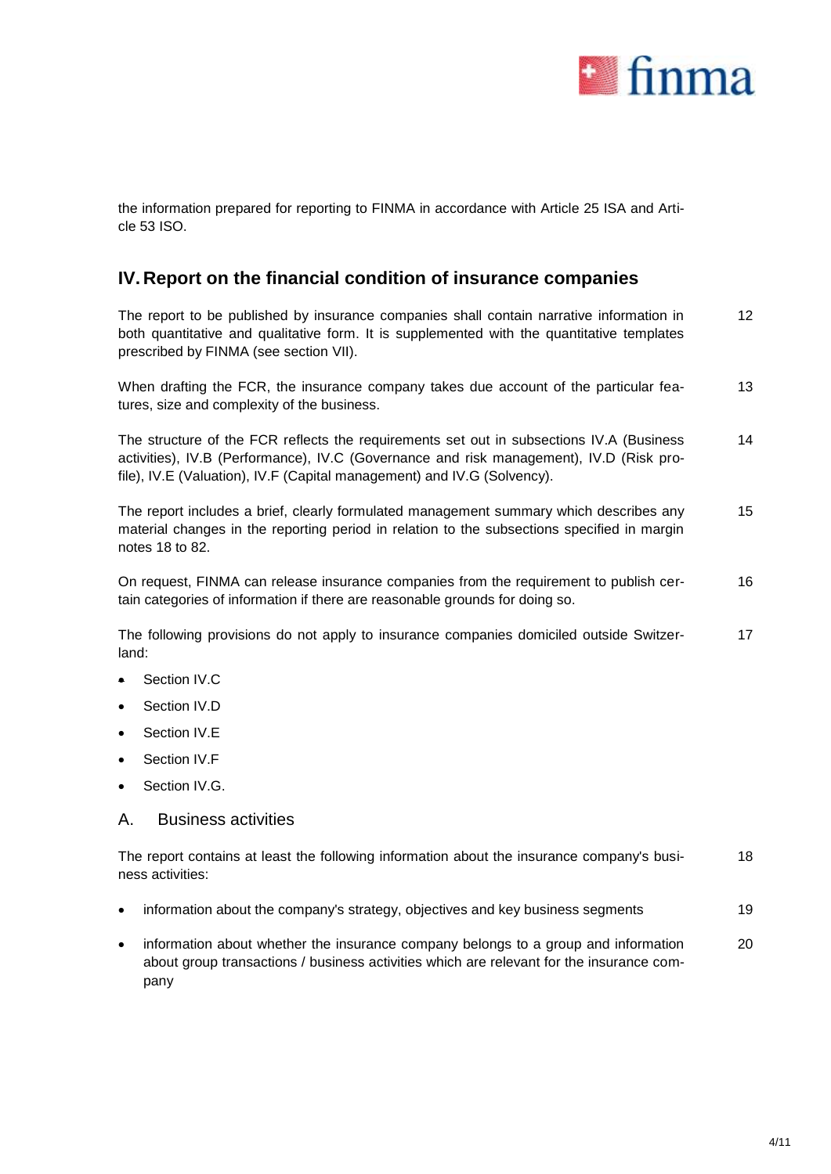

the information prepared for reporting to FINMA in accordance with Article 25 ISA and Article 53 ISO.

### **IV. Report on the financial condition of insurance companies**

The report to be published by insurance companies shall contain narrative information in both quantitative and qualitative form. It is supplemented with the quantitative templates prescribed by FINMA (see section [VII\)](#page-9-0). 12

When drafting the FCR, the insurance company takes due account of the particular features, size and complexity of the business. 13

The structure of the FCR reflects the requirements set out in subsections IV.A (Business activities), IV.B (Performance), IV.C (Governance and risk management), IV.D (Risk profile), IV.E (Valuation), IV.F (Capital management) and IV.G (Solvency). 14

The report includes a brief, clearly formulated management summary which describes any material changes in the reporting period in relation to the subsections specified in margin notes 18 to 82. 15

On request, FINMA can release insurance companies from the requirement to publish certain categories of information if there are reasonable grounds for doing so. 16

The following provisions do not apply to insurance companies domiciled outside Switzerland: 17

- Section IV.C
- Section IV<sub>D</sub>
- Section IV.E
- Section IV.F
- Section IV.G.

#### A. Business activities

The report contains at least the following information about the insurance company's business activities: 18

- information about the company's strategy, objectives and key business segments 19
- information about whether the insurance company belongs to a group and information about group transactions / business activities which are relevant for the insurance company 20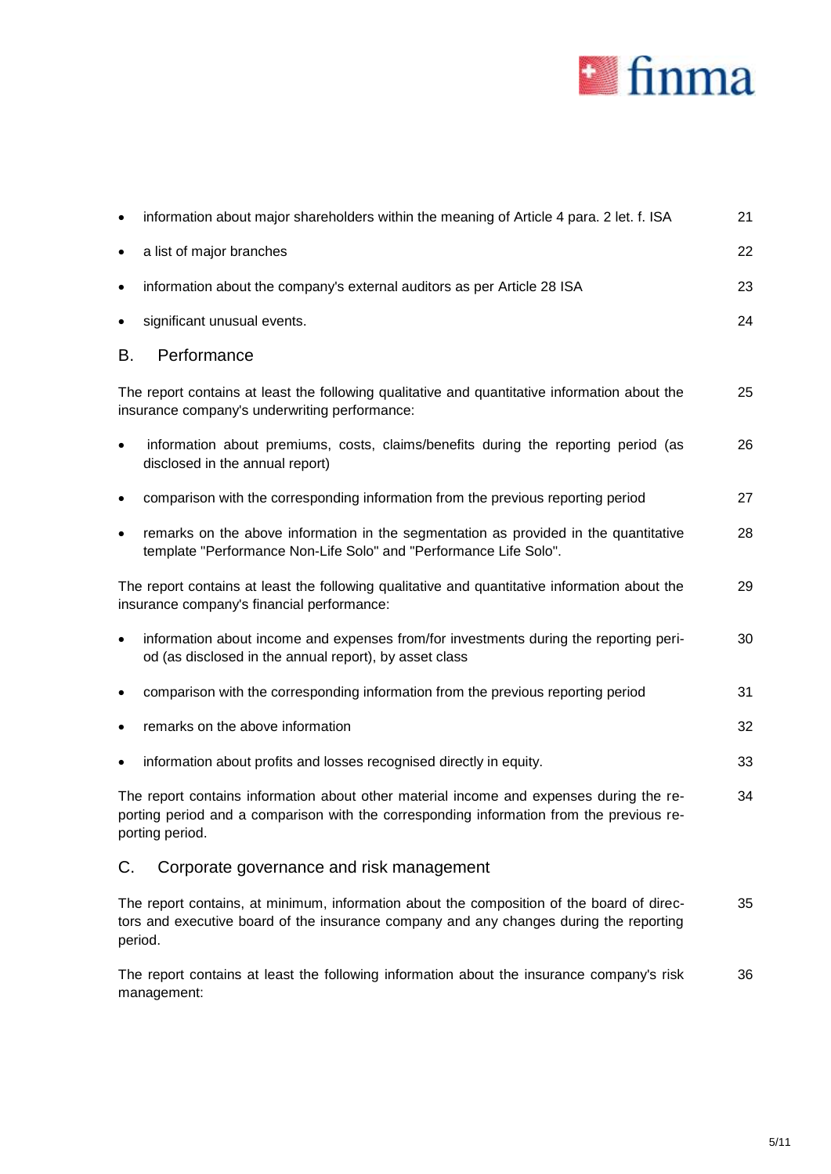

| $\bullet$ | information about major shareholders within the meaning of Article 4 para. 2 let. f. ISA                                                                                                               | 21 |
|-----------|--------------------------------------------------------------------------------------------------------------------------------------------------------------------------------------------------------|----|
| $\bullet$ | a list of major branches                                                                                                                                                                               | 22 |
| $\bullet$ | information about the company's external auditors as per Article 28 ISA                                                                                                                                | 23 |
| ٠         | significant unusual events.                                                                                                                                                                            | 24 |
| В.        | Performance                                                                                                                                                                                            |    |
|           | The report contains at least the following qualitative and quantitative information about the<br>insurance company's underwriting performance:                                                         | 25 |
| $\bullet$ | information about premiums, costs, claims/benefits during the reporting period (as<br>disclosed in the annual report)                                                                                  | 26 |
| ٠         | comparison with the corresponding information from the previous reporting period                                                                                                                       | 27 |
| $\bullet$ | remarks on the above information in the segmentation as provided in the quantitative<br>template "Performance Non-Life Solo" and "Performance Life Solo".                                              | 28 |
|           | The report contains at least the following qualitative and quantitative information about the<br>insurance company's financial performance:                                                            | 29 |
| $\bullet$ | information about income and expenses from/for investments during the reporting peri-<br>od (as disclosed in the annual report), by asset class                                                        | 30 |
|           | comparison with the corresponding information from the previous reporting period                                                                                                                       | 31 |
| $\bullet$ | remarks on the above information                                                                                                                                                                       | 32 |
|           | information about profits and losses recognised directly in equity.                                                                                                                                    | 33 |
|           | The report contains information about other material income and expenses during the re-<br>porting period and a comparison with the corresponding information from the previous re-<br>porting period. | 34 |
| C.        | Corporate governance and risk management                                                                                                                                                               |    |
|           | The report contains, at minimum, information about the composition of the board of direc-<br>tors and executive board of the insurance company and any changes during the reporting<br>period.         | 35 |

The report contains at least the following information about the insurance company's risk management: 36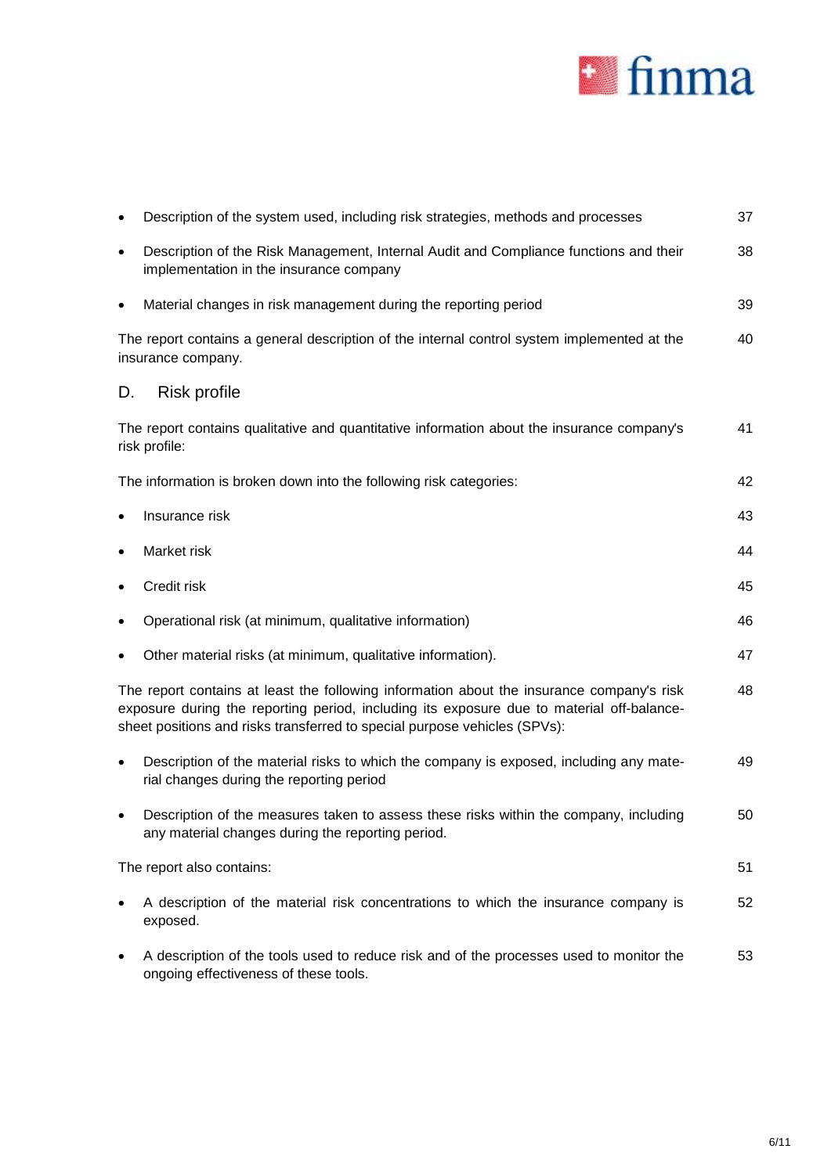

|           | Description of the system used, including risk strategies, methods and processes                                                                                                                                                                                    | 37 |
|-----------|---------------------------------------------------------------------------------------------------------------------------------------------------------------------------------------------------------------------------------------------------------------------|----|
| $\bullet$ | Description of the Risk Management, Internal Audit and Compliance functions and their<br>implementation in the insurance company                                                                                                                                    | 38 |
| $\bullet$ | Material changes in risk management during the reporting period                                                                                                                                                                                                     | 39 |
|           | The report contains a general description of the internal control system implemented at the<br>insurance company.                                                                                                                                                   | 40 |
| D.        | <b>Risk profile</b>                                                                                                                                                                                                                                                 |    |
|           | The report contains qualitative and quantitative information about the insurance company's<br>risk profile:                                                                                                                                                         | 41 |
|           | The information is broken down into the following risk categories:                                                                                                                                                                                                  | 42 |
|           | Insurance risk                                                                                                                                                                                                                                                      | 43 |
|           | Market risk                                                                                                                                                                                                                                                         | 44 |
|           | Credit risk                                                                                                                                                                                                                                                         | 45 |
|           | Operational risk (at minimum, qualitative information)                                                                                                                                                                                                              | 46 |
|           | Other material risks (at minimum, qualitative information).                                                                                                                                                                                                         | 47 |
|           | The report contains at least the following information about the insurance company's risk<br>exposure during the reporting period, including its exposure due to material off-balance-<br>sheet positions and risks transferred to special purpose vehicles (SPVs): | 48 |
| $\bullet$ | Description of the material risks to which the company is exposed, including any mate-<br>rial changes during the reporting period                                                                                                                                  | 49 |
|           | Description of the measures taken to assess these risks within the company, including<br>any material changes during the reporting period.                                                                                                                          | 50 |
|           | The report also contains:                                                                                                                                                                                                                                           | 51 |
|           | A description of the material risk concentrations to which the insurance company is<br>exposed.                                                                                                                                                                     | 52 |
|           | A description of the tools used to reduce risk and of the processes used to monitor the<br>ongoing effectiveness of these tools.                                                                                                                                    | 53 |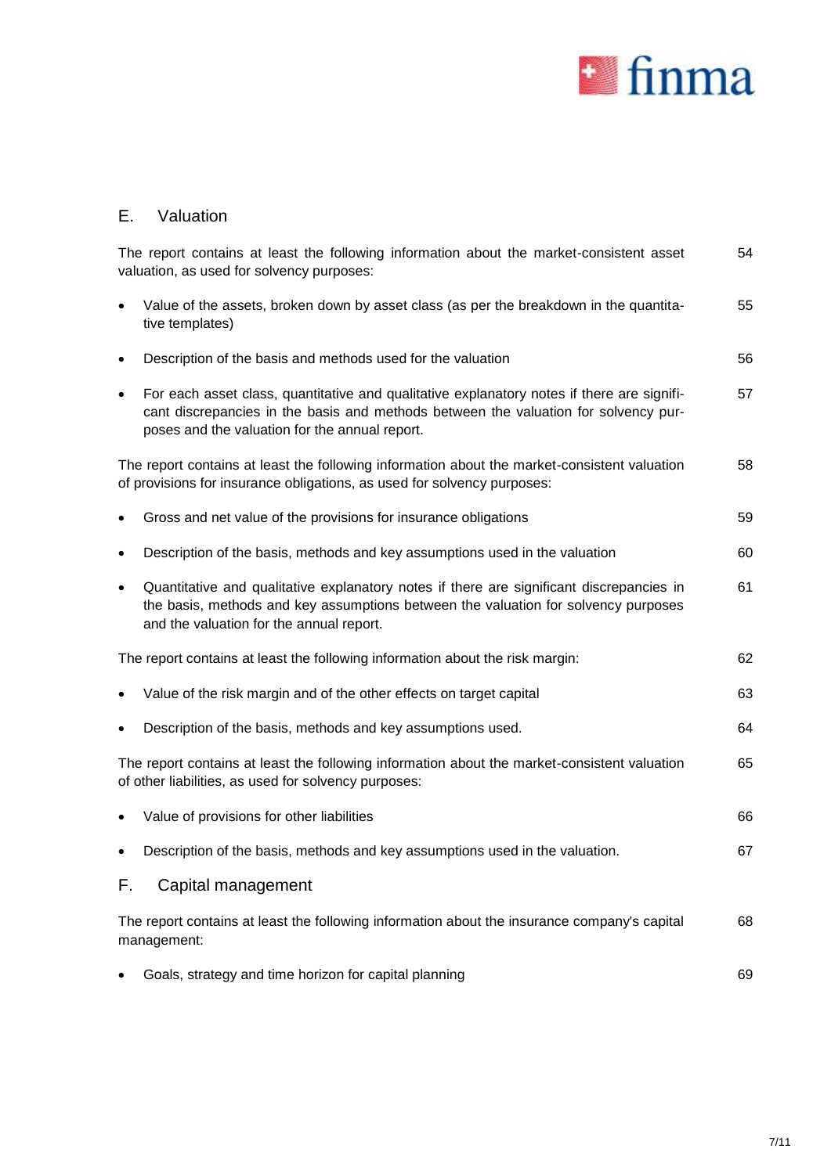

# E. Valuation

|           | The report contains at least the following information about the market-consistent asset<br>valuation, as used for solvency purposes:                                                                                               | 54 |
|-----------|-------------------------------------------------------------------------------------------------------------------------------------------------------------------------------------------------------------------------------------|----|
| $\bullet$ | Value of the assets, broken down by asset class (as per the breakdown in the quantita-<br>tive templates)                                                                                                                           | 55 |
| $\bullet$ | Description of the basis and methods used for the valuation                                                                                                                                                                         | 56 |
|           | For each asset class, quantitative and qualitative explanatory notes if there are signifi-<br>cant discrepancies in the basis and methods between the valuation for solvency pur-<br>poses and the valuation for the annual report. | 57 |
|           | The report contains at least the following information about the market-consistent valuation<br>of provisions for insurance obligations, as used for solvency purposes:                                                             | 58 |
| ٠         | Gross and net value of the provisions for insurance obligations                                                                                                                                                                     | 59 |
| $\bullet$ | Description of the basis, methods and key assumptions used in the valuation                                                                                                                                                         | 60 |
| $\bullet$ | Quantitative and qualitative explanatory notes if there are significant discrepancies in<br>the basis, methods and key assumptions between the valuation for solvency purposes<br>and the valuation for the annual report.          | 61 |
|           | The report contains at least the following information about the risk margin:                                                                                                                                                       | 62 |
|           | Value of the risk margin and of the other effects on target capital                                                                                                                                                                 | 63 |
|           | Description of the basis, methods and key assumptions used.                                                                                                                                                                         | 64 |
|           | The report contains at least the following information about the market-consistent valuation<br>of other liabilities, as used for solvency purposes:                                                                                | 65 |
|           | Value of provisions for other liabilities                                                                                                                                                                                           | 66 |
| ٠         | Description of the basis, methods and key assumptions used in the valuation.                                                                                                                                                        | 67 |
| F.        | Capital management                                                                                                                                                                                                                  |    |
|           | The report contains at least the following information about the insurance company's capital<br>management:                                                                                                                         | 68 |
|           | Goals, strategy and time horizon for capital planning                                                                                                                                                                               | 69 |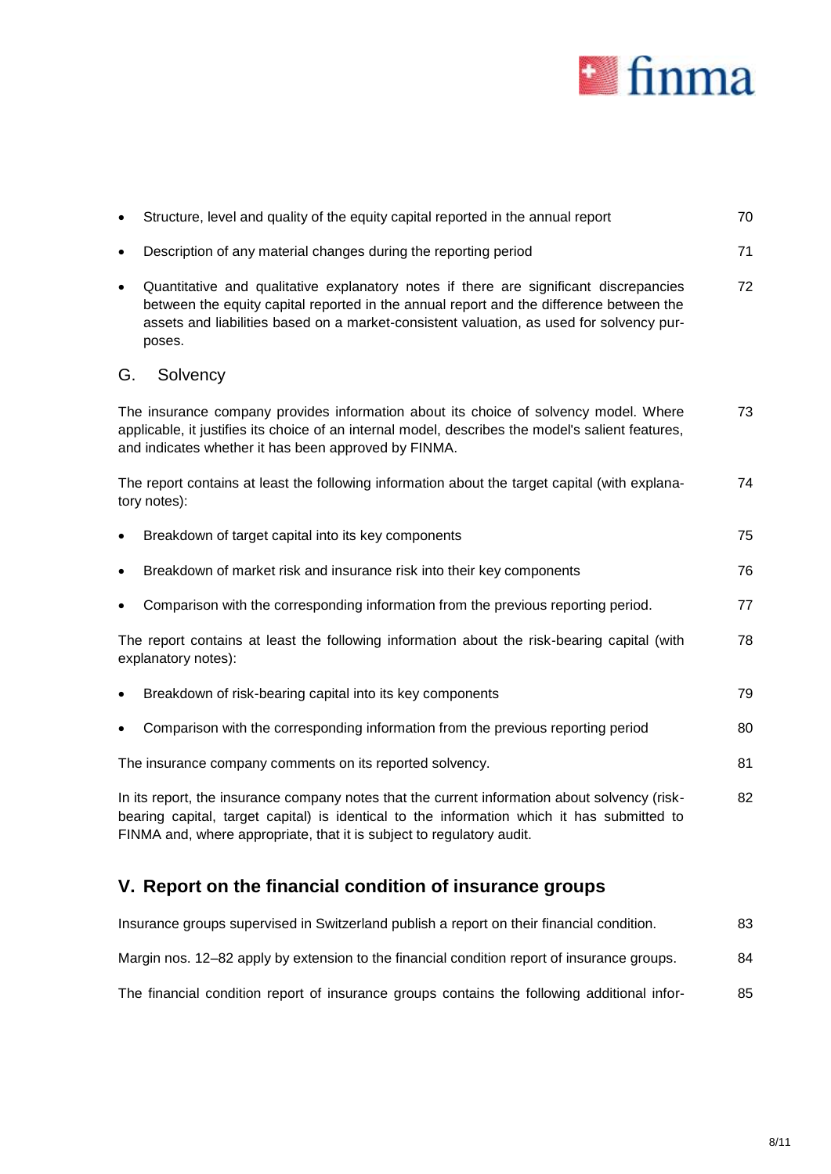

|           | Structure, level and quality of the equity capital reported in the annual report                                                                                                                                                                                                       | 70 |
|-----------|----------------------------------------------------------------------------------------------------------------------------------------------------------------------------------------------------------------------------------------------------------------------------------------|----|
| $\bullet$ | Description of any material changes during the reporting period                                                                                                                                                                                                                        | 71 |
| $\bullet$ | Quantitative and qualitative explanatory notes if there are significant discrepancies<br>between the equity capital reported in the annual report and the difference between the<br>assets and liabilities based on a market-consistent valuation, as used for solvency pur-<br>poses. | 72 |
| G.        | Solvency                                                                                                                                                                                                                                                                               |    |
|           | The insurance company provides information about its choice of solvency model. Where<br>applicable, it justifies its choice of an internal model, describes the model's salient features,<br>and indicates whether it has been approved by FINMA.                                      | 73 |
|           | The report contains at least the following information about the target capital (with explana-<br>tory notes):                                                                                                                                                                         | 74 |
|           | Breakdown of target capital into its key components                                                                                                                                                                                                                                    | 75 |
|           | Breakdown of market risk and insurance risk into their key components                                                                                                                                                                                                                  | 76 |
|           | Comparison with the corresponding information from the previous reporting period.                                                                                                                                                                                                      | 77 |
|           | The report contains at least the following information about the risk-bearing capital (with<br>explanatory notes):                                                                                                                                                                     | 78 |
|           | Breakdown of risk-bearing capital into its key components                                                                                                                                                                                                                              | 79 |
|           | Comparison with the corresponding information from the previous reporting period                                                                                                                                                                                                       | 80 |
|           | The insurance company comments on its reported solvency.                                                                                                                                                                                                                               | 81 |
|           | In its report, the insurance company notes that the current information about solvency (risk-<br>bearing capital, target capital) is identical to the information which it has submitted to<br>FINMA and, where appropriate, that it is subject to regulatory audit.                   | 82 |

# **V. Report on the financial condition of insurance groups**

| Insurance groups supervised in Switzerland publish a report on their financial condition.   | 83 |
|---------------------------------------------------------------------------------------------|----|
| Margin nos. 12–82 apply by extension to the financial condition report of insurance groups. | 84 |
| The financial condition report of insurance groups contains the following additional infor- | 85 |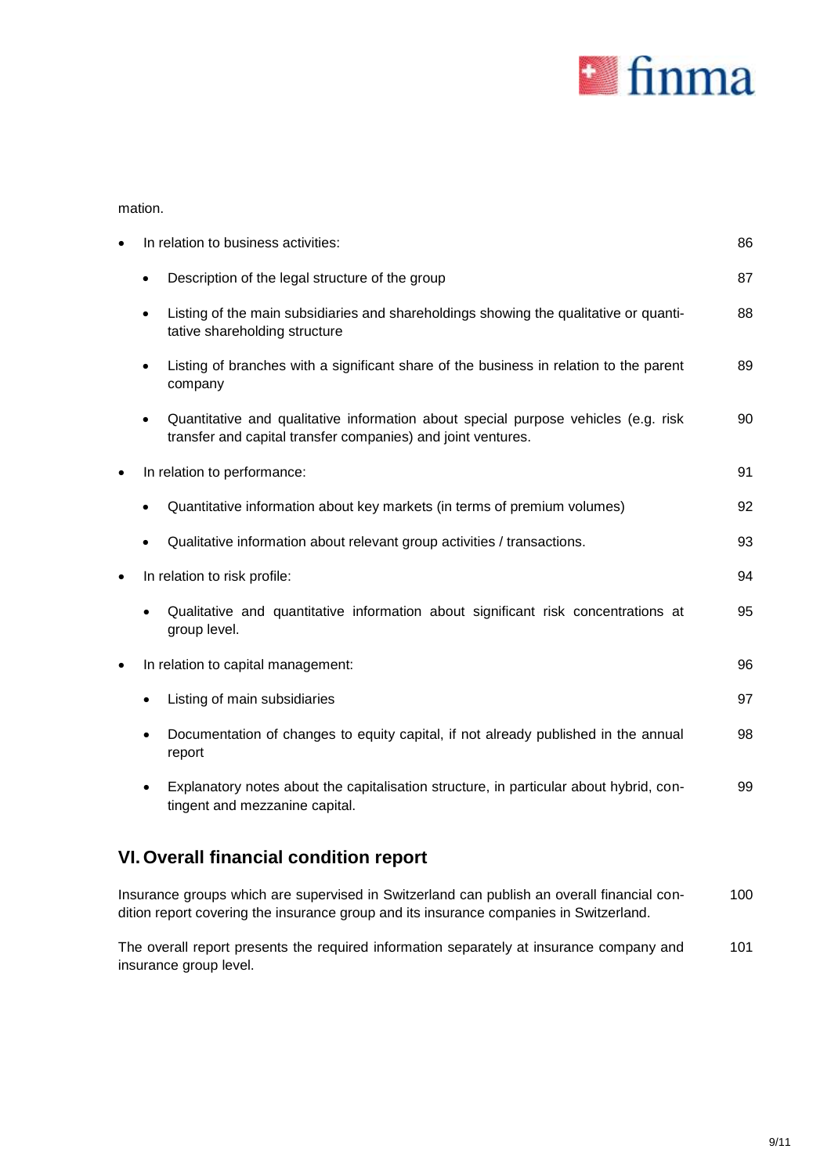

mation.

| $\bullet$ | In relation to business activities:                                                                                                                | 86 |
|-----------|----------------------------------------------------------------------------------------------------------------------------------------------------|----|
|           | Description of the legal structure of the group                                                                                                    | 87 |
|           | Listing of the main subsidiaries and shareholdings showing the qualitative or quanti-<br>tative shareholding structure                             | 88 |
|           | Listing of branches with a significant share of the business in relation to the parent<br>$\bullet$<br>company                                     | 89 |
|           | Quantitative and qualitative information about special purpose vehicles (e.g. risk<br>transfer and capital transfer companies) and joint ventures. | 90 |
| $\bullet$ | In relation to performance:                                                                                                                        | 91 |
|           | Quantitative information about key markets (in terms of premium volumes)                                                                           | 92 |
|           | Qualitative information about relevant group activities / transactions.                                                                            | 93 |
| $\bullet$ | In relation to risk profile:                                                                                                                       | 94 |
|           | Qualitative and quantitative information about significant risk concentrations at<br>group level.                                                  | 95 |
| $\bullet$ | In relation to capital management:                                                                                                                 | 96 |
|           | Listing of main subsidiaries                                                                                                                       | 97 |
|           | Documentation of changes to equity capital, if not already published in the annual<br>report                                                       | 98 |
|           | Explanatory notes about the capitalisation structure, in particular about hybrid, con-<br>tingent and mezzanine capital.                           | 99 |
|           | <b>VI. Overall financial condition report</b>                                                                                                      |    |

Insurance groups which are supervised in Switzerland can publish an overall financial condition report covering the insurance group and its insurance companies in Switzerland. 100

The overall report presents the required information separately at insurance company and insurance group level. 101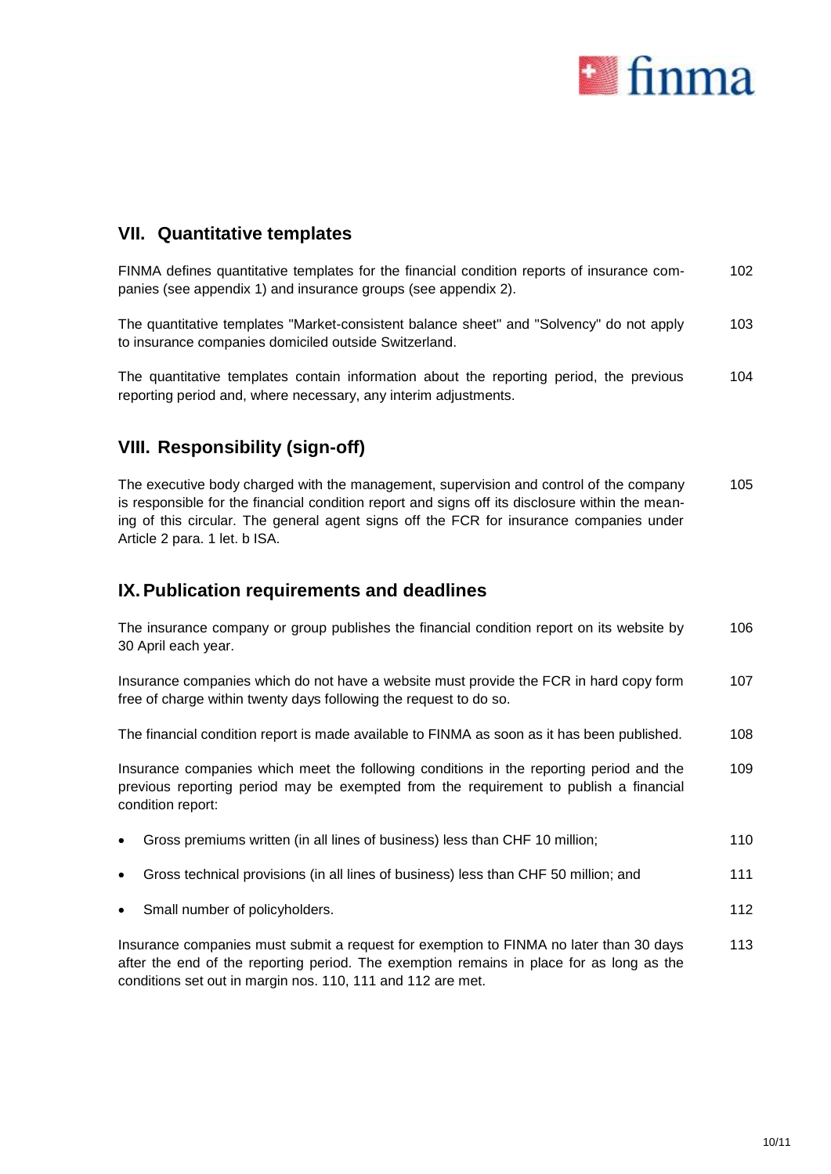

## <span id="page-9-0"></span>**VII. Quantitative templates**

| FINMA defines quantitative templates for the financial condition reports of insurance com- | 102 |
|--------------------------------------------------------------------------------------------|-----|
| panies (see appendix 1) and insurance groups (see appendix 2).                             |     |
|                                                                                            |     |

The quantitative templates "Market-consistent balance sheet" and "Solvency" do not apply to insurance companies domiciled outside Switzerland. 103

The quantitative templates contain information about the reporting period, the previous reporting period and, where necessary, any interim adjustments. 104

# **VIII. Responsibility (sign-off)**

The executive body charged with the management, supervision and control of the company is responsible for the financial condition report and signs off its disclosure within the meaning of this circular. The general agent signs off the FCR for insurance companies under Article 2 para. 1 let. b ISA. 105

# **IX.Publication requirements and deadlines**

conditions set out in margin nos. 110, 111 and 112 are met.

|           | The insurance company or group publishes the financial condition report on its website by<br>30 April each year.                                                                                      | 106 |
|-----------|-------------------------------------------------------------------------------------------------------------------------------------------------------------------------------------------------------|-----|
|           | Insurance companies which do not have a website must provide the FCR in hard copy form<br>free of charge within twenty days following the request to do so.                                           | 107 |
|           | The financial condition report is made available to FINMA as soon as it has been published.                                                                                                           | 108 |
|           | Insurance companies which meet the following conditions in the reporting period and the<br>previous reporting period may be exempted from the requirement to publish a financial<br>condition report: | 109 |
| $\bullet$ | Gross premiums written (in all lines of business) less than CHF 10 million;                                                                                                                           | 110 |
| $\bullet$ | Gross technical provisions (in all lines of business) less than CHF 50 million; and                                                                                                                   | 111 |
| $\bullet$ | Small number of policyholders.                                                                                                                                                                        | 112 |
|           | Insurance companies must submit a request for exemption to FINMA no later than 30 days<br>after the end of the reporting period. The exemption remains in place for as long as the                    | 113 |